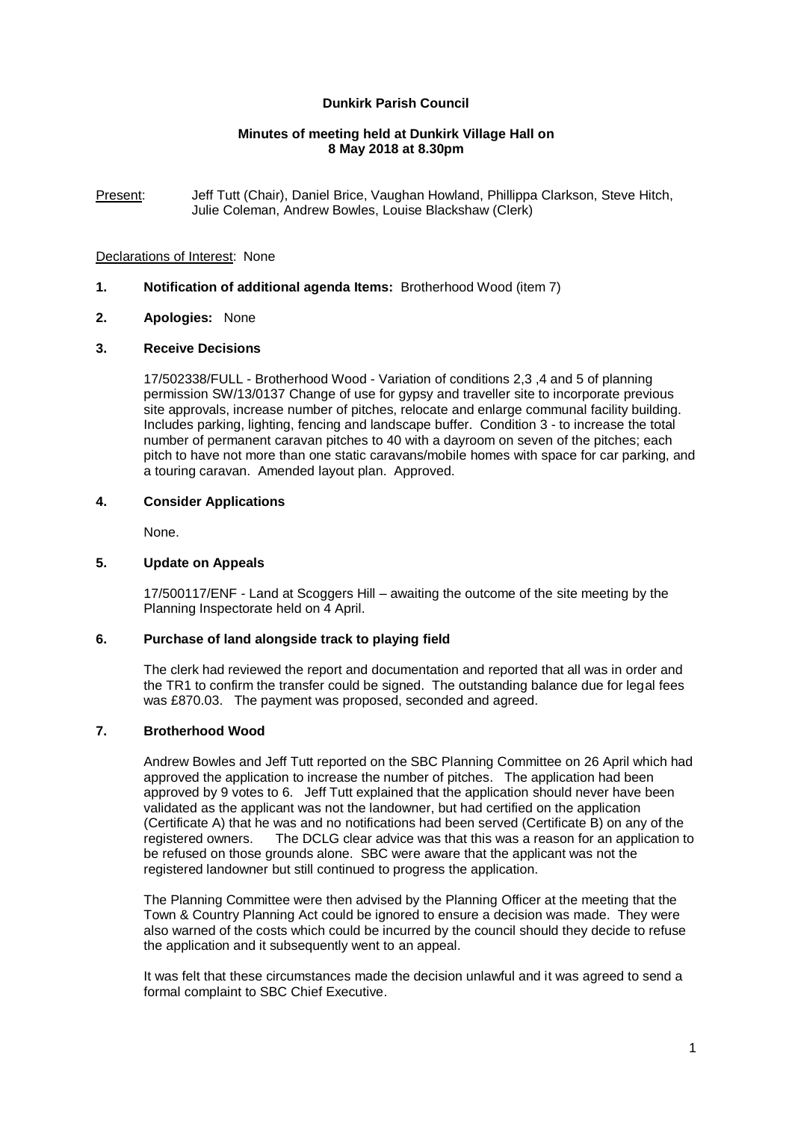# **Dunkirk Parish Council**

## **Minutes of meeting held at Dunkirk Village Hall on 8 May 2018 at 8.30pm**

Present: Jeff Tutt (Chair), Daniel Brice, Vaughan Howland, Phillippa Clarkson, Steve Hitch, Julie Coleman, Andrew Bowles, Louise Blackshaw (Clerk)

#### Declarations of Interest: None

# **1. Notification of additional agenda Items:** Brotherhood Wood (item 7)

#### **2. Apologies:** None

#### **3. Receive Decisions**

17/502338/FULL - Brotherhood Wood - Variation of conditions 2,3 ,4 and 5 of planning permission SW/13/0137 Change of use for gypsy and traveller site to incorporate previous site approvals, increase number of pitches, relocate and enlarge communal facility building. Includes parking, lighting, fencing and landscape buffer. Condition 3 - to increase the total number of permanent caravan pitches to 40 with a dayroom on seven of the pitches; each pitch to have not more than one static caravans/mobile homes with space for car parking, and a touring caravan. Amended layout plan. Approved.

# **4. Consider Applications**

None.

# **5. Update on Appeals**

17/500117/ENF - Land at Scoggers Hill – awaiting the outcome of the site meeting by the Planning Inspectorate held on 4 April.

#### **6. Purchase of land alongside track to playing field**

The clerk had reviewed the report and documentation and reported that all was in order and the TR1 to confirm the transfer could be signed. The outstanding balance due for legal fees was £870.03. The payment was proposed, seconded and agreed.

# **7. Brotherhood Wood**

Andrew Bowles and Jeff Tutt reported on the SBC Planning Committee on 26 April which had approved the application to increase the number of pitches. The application had been approved by 9 votes to 6. Jeff Tutt explained that the application should never have been validated as the applicant was not the landowner, but had certified on the application (Certificate A) that he was and no notifications had been served (Certificate B) on any of the registered owners. The DCLG clear advice was that this was a reason for an application t The DCLG clear advice was that this was a reason for an application to be refused on those grounds alone. SBC were aware that the applicant was not the registered landowner but still continued to progress the application.

The Planning Committee were then advised by the Planning Officer at the meeting that the Town & Country Planning Act could be ignored to ensure a decision was made. They were also warned of the costs which could be incurred by the council should they decide to refuse the application and it subsequently went to an appeal.

It was felt that these circumstances made the decision unlawful and it was agreed to send a formal complaint to SBC Chief Executive.